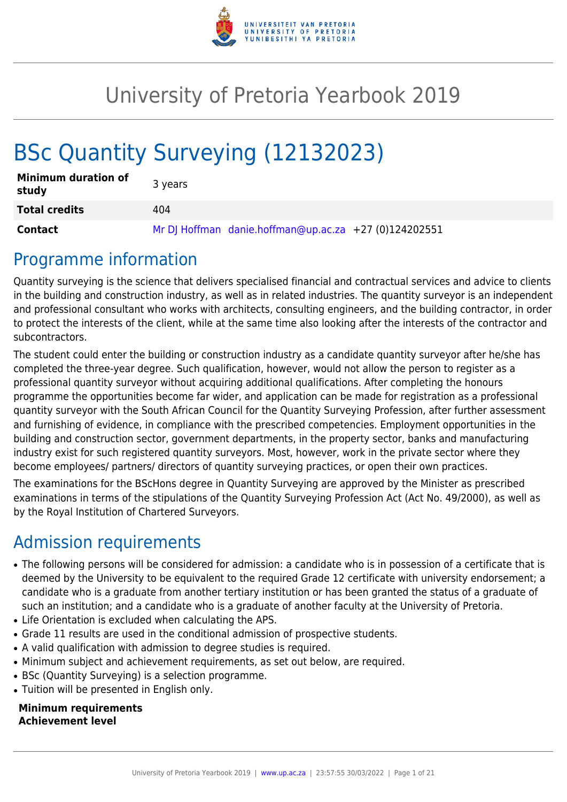

# University of Pretoria Yearbook 2019

# BSc Quantity Surveying (12132023)

| <b>Minimum duration of</b><br>study | 3 years                                               |
|-------------------------------------|-------------------------------------------------------|
| <b>Total credits</b>                | 404                                                   |
| <b>Contact</b>                      | Mr DJ Hoffman danie.hoffman@up.ac.za +27 (0)124202551 |

## Programme information

Quantity surveying is the science that delivers specialised financial and contractual services and advice to clients in the building and construction industry, as well as in related industries. The quantity surveyor is an independent and professional consultant who works with architects, consulting engineers, and the building contractor, in order to protect the interests of the client, while at the same time also looking after the interests of the contractor and subcontractors.

The student could enter the building or construction industry as a candidate quantity surveyor after he/she has completed the three-year degree. Such qualification, however, would not allow the person to register as a professional quantity surveyor without acquiring additional qualifications. After completing the honours programme the opportunities become far wider, and application can be made for registration as a professional quantity surveyor with the South African Council for the Quantity Surveying Profession, after further assessment and furnishing of evidence, in compliance with the prescribed competencies. Employment opportunities in the building and construction sector, government departments, in the property sector, banks and manufacturing industry exist for such registered quantity surveyors. Most, however, work in the private sector where they become employees/ partners/ directors of quantity surveying practices, or open their own practices.

The examinations for the BScHons degree in Quantity Surveying are approved by the Minister as prescribed examinations in terms of the stipulations of the Quantity Surveying Profession Act (Act No. 49/2000), as well as by the Royal Institution of Chartered Surveyors.

## Admission requirements

- The following persons will be considered for admission: a candidate who is in possession of a certificate that is deemed by the University to be equivalent to the required Grade 12 certificate with university endorsement; a candidate who is a graduate from another tertiary institution or has been granted the status of a graduate of such an institution; and a candidate who is a graduate of another faculty at the University of Pretoria.
- Life Orientation is excluded when calculating the APS.
- Grade 11 results are used in the conditional admission of prospective students.
- A valid qualification with admission to degree studies is required.
- Minimum subject and achievement requirements, as set out below, are required.
- BSc (Quantity Surveying) is a selection programme.
- Tuition will be presented in English only.

**Minimum requirements Achievement level**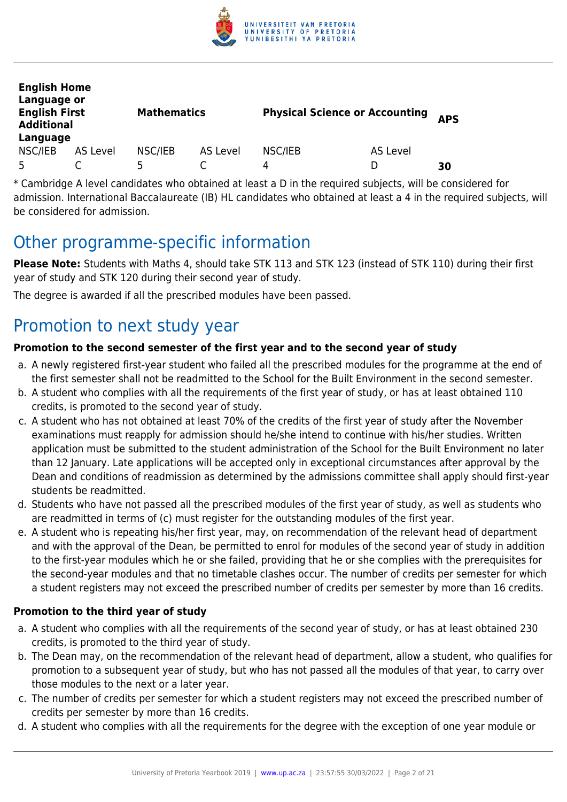

| <b>English Home</b><br>Language or<br><b>English First</b><br><b>Additional</b><br>Language |          | <b>Mathematics</b> |          | <b>Physical Science or Accounting</b> |          | <b>APS</b> |
|---------------------------------------------------------------------------------------------|----------|--------------------|----------|---------------------------------------|----------|------------|
| NSC/IEB                                                                                     | AS Level | NSC/IEB            | AS Level | NSC/IEB                               | AS Level |            |
| 5                                                                                           |          | 5                  |          | 4                                     | D        | 30         |

\* Cambridge A level candidates who obtained at least a D in the required subjects, will be considered for admission. International Baccalaureate (IB) HL candidates who obtained at least a 4 in the required subjects, will be considered for admission.

## Other programme-specific information

**Please Note:** Students with Maths 4, should take STK 113 and STK 123 (instead of STK 110) during their first year of study and STK 120 during their second year of study.

The degree is awarded if all the prescribed modules have been passed.

## Promotion to next study year

## **Promotion to the second semester of the first year and to the second year of study**

- a. A newly registered first-year student who failed all the prescribed modules for the programme at the end of the first semester shall not be readmitted to the School for the Built Environment in the second semester.
- b. A student who complies with all the requirements of the first year of study, or has at least obtained 110 credits, is promoted to the second year of study.
- c. A student who has not obtained at least 70% of the credits of the first year of study after the November examinations must reapply for admission should he/she intend to continue with his/her studies. Written application must be submitted to the student administration of the School for the Built Environment no later than 12 January. Late applications will be accepted only in exceptional circumstances after approval by the Dean and conditions of readmission as determined by the admissions committee shall apply should first-year students be readmitted.
- d. Students who have not passed all the prescribed modules of the first year of study, as well as students who are readmitted in terms of (c) must register for the outstanding modules of the first year.
- e. A student who is repeating his/her first year, may, on recommendation of the relevant head of department and with the approval of the Dean, be permitted to enrol for modules of the second year of study in addition to the first-year modules which he or she failed, providing that he or she complies with the prerequisites for the second-year modules and that no timetable clashes occur. The number of credits per semester for which a student registers may not exceed the prescribed number of credits per semester by more than 16 credits.

#### **Promotion to the third year of study**

- a. A student who complies with all the requirements of the second year of study, or has at least obtained 230 credits, is promoted to the third year of study.
- b. The Dean may, on the recommendation of the relevant head of department, allow a student, who qualifies for promotion to a subsequent year of study, but who has not passed all the modules of that year, to carry over those modules to the next or a later year.
- c. The number of credits per semester for which a student registers may not exceed the prescribed number of credits per semester by more than 16 credits.
- d. A student who complies with all the requirements for the degree with the exception of one year module or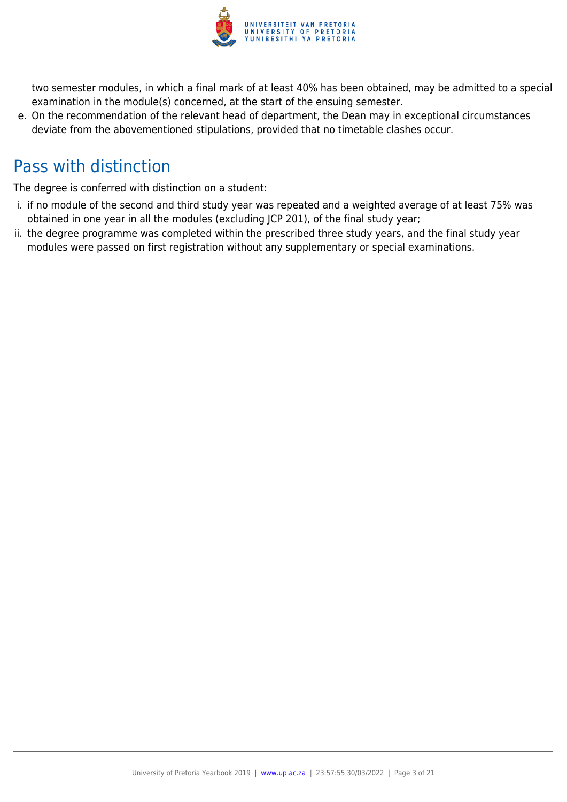

two semester modules, in which a final mark of at least 40% has been obtained, may be admitted to a special examination in the module(s) concerned, at the start of the ensuing semester.

e. On the recommendation of the relevant head of department, the Dean may in exceptional circumstances deviate from the abovementioned stipulations, provided that no timetable clashes occur.

## Pass with distinction

The degree is conferred with distinction on a student:

- i. if no module of the second and third study year was repeated and a weighted average of at least 75% was obtained in one year in all the modules (excluding JCP 201), of the final study year;
- ii. the degree programme was completed within the prescribed three study years, and the final study year modules were passed on first registration without any supplementary or special examinations.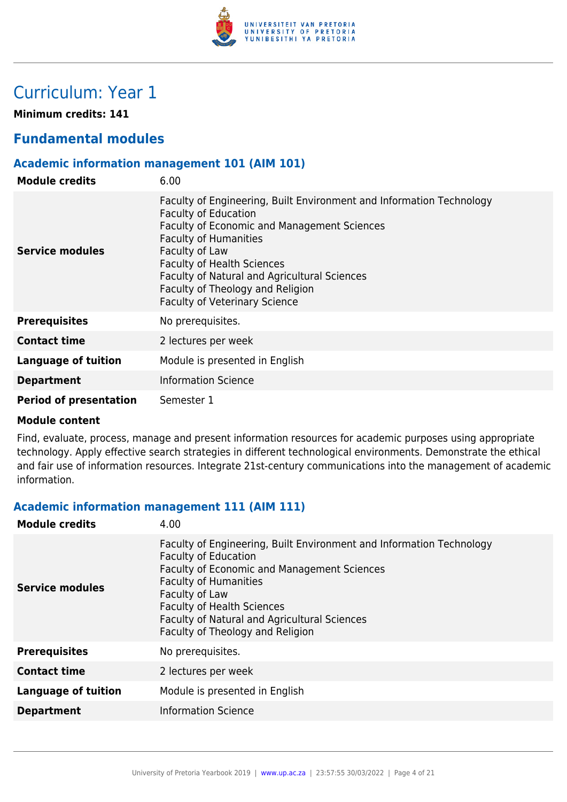

## Curriculum: Year 1

**Minimum credits: 141**

## **Fundamental modules**

## **Academic information management 101 (AIM 101)**

| <b>Module credits</b>         | 6.00                                                                                                                                                                                                                                                                                                                                                                  |
|-------------------------------|-----------------------------------------------------------------------------------------------------------------------------------------------------------------------------------------------------------------------------------------------------------------------------------------------------------------------------------------------------------------------|
| Service modules               | Faculty of Engineering, Built Environment and Information Technology<br><b>Faculty of Education</b><br>Faculty of Economic and Management Sciences<br><b>Faculty of Humanities</b><br>Faculty of Law<br><b>Faculty of Health Sciences</b><br>Faculty of Natural and Agricultural Sciences<br>Faculty of Theology and Religion<br><b>Faculty of Veterinary Science</b> |
| <b>Prerequisites</b>          | No prerequisites.                                                                                                                                                                                                                                                                                                                                                     |
| <b>Contact time</b>           | 2 lectures per week                                                                                                                                                                                                                                                                                                                                                   |
| <b>Language of tuition</b>    | Module is presented in English                                                                                                                                                                                                                                                                                                                                        |
| <b>Department</b>             | <b>Information Science</b>                                                                                                                                                                                                                                                                                                                                            |
| <b>Period of presentation</b> | Semester 1                                                                                                                                                                                                                                                                                                                                                            |

#### **Module content**

Find, evaluate, process, manage and present information resources for academic purposes using appropriate technology. Apply effective search strategies in different technological environments. Demonstrate the ethical and fair use of information resources. Integrate 21st-century communications into the management of academic information.

#### **Academic information management 111 (AIM 111)**

| <b>Module credits</b>      | 4.00                                                                                                                                                                                                                                                                                                                                 |
|----------------------------|--------------------------------------------------------------------------------------------------------------------------------------------------------------------------------------------------------------------------------------------------------------------------------------------------------------------------------------|
| Service modules            | Faculty of Engineering, Built Environment and Information Technology<br><b>Faculty of Education</b><br><b>Faculty of Economic and Management Sciences</b><br><b>Faculty of Humanities</b><br>Faculty of Law<br><b>Faculty of Health Sciences</b><br>Faculty of Natural and Agricultural Sciences<br>Faculty of Theology and Religion |
| <b>Prerequisites</b>       | No prerequisites.                                                                                                                                                                                                                                                                                                                    |
| <b>Contact time</b>        | 2 lectures per week                                                                                                                                                                                                                                                                                                                  |
| <b>Language of tuition</b> | Module is presented in English                                                                                                                                                                                                                                                                                                       |
| <b>Department</b>          | <b>Information Science</b>                                                                                                                                                                                                                                                                                                           |
|                            |                                                                                                                                                                                                                                                                                                                                      |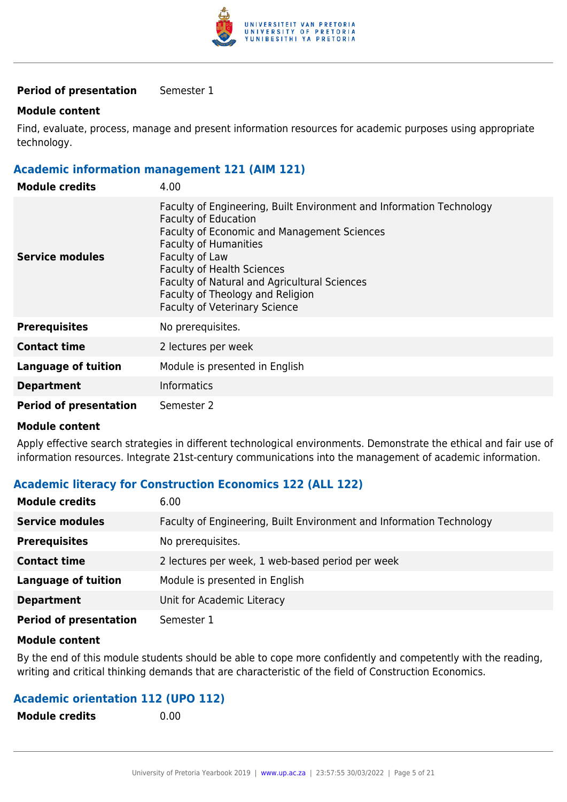

#### **Period of presentation** Semester 1

#### **Module content**

Find, evaluate, process, manage and present information resources for academic purposes using appropriate technology.

#### **Academic information management 121 (AIM 121)**

| <b>Module credits</b>         | 4.00                                                                                                                                                                                                                                                                                                                                                                                |
|-------------------------------|-------------------------------------------------------------------------------------------------------------------------------------------------------------------------------------------------------------------------------------------------------------------------------------------------------------------------------------------------------------------------------------|
| Service modules               | Faculty of Engineering, Built Environment and Information Technology<br><b>Faculty of Education</b><br><b>Faculty of Economic and Management Sciences</b><br><b>Faculty of Humanities</b><br>Faculty of Law<br><b>Faculty of Health Sciences</b><br><b>Faculty of Natural and Agricultural Sciences</b><br>Faculty of Theology and Religion<br><b>Faculty of Veterinary Science</b> |
| <b>Prerequisites</b>          | No prerequisites.                                                                                                                                                                                                                                                                                                                                                                   |
| <b>Contact time</b>           | 2 lectures per week                                                                                                                                                                                                                                                                                                                                                                 |
| <b>Language of tuition</b>    | Module is presented in English                                                                                                                                                                                                                                                                                                                                                      |
| <b>Department</b>             | <b>Informatics</b>                                                                                                                                                                                                                                                                                                                                                                  |
| <b>Period of presentation</b> | Semester 2                                                                                                                                                                                                                                                                                                                                                                          |

#### **Module content**

Apply effective search strategies in different technological environments. Demonstrate the ethical and fair use of information resources. Integrate 21st-century communications into the management of academic information.

#### **Academic literacy for Construction Economics 122 (ALL 122)**

| <b>Module credits</b>         | 6.00                                                                 |
|-------------------------------|----------------------------------------------------------------------|
| <b>Service modules</b>        | Faculty of Engineering, Built Environment and Information Technology |
| <b>Prerequisites</b>          | No prerequisites.                                                    |
| <b>Contact time</b>           | 2 lectures per week, 1 web-based period per week                     |
| <b>Language of tuition</b>    | Module is presented in English                                       |
| <b>Department</b>             | Unit for Academic Literacy                                           |
| <b>Period of presentation</b> | Semester 1                                                           |

#### **Module content**

By the end of this module students should be able to cope more confidently and competently with the reading, writing and critical thinking demands that are characteristic of the field of Construction Economics.

#### **Academic orientation 112 (UPO 112)**

| <b>Module credits</b> | 0.00 |
|-----------------------|------|
|                       |      |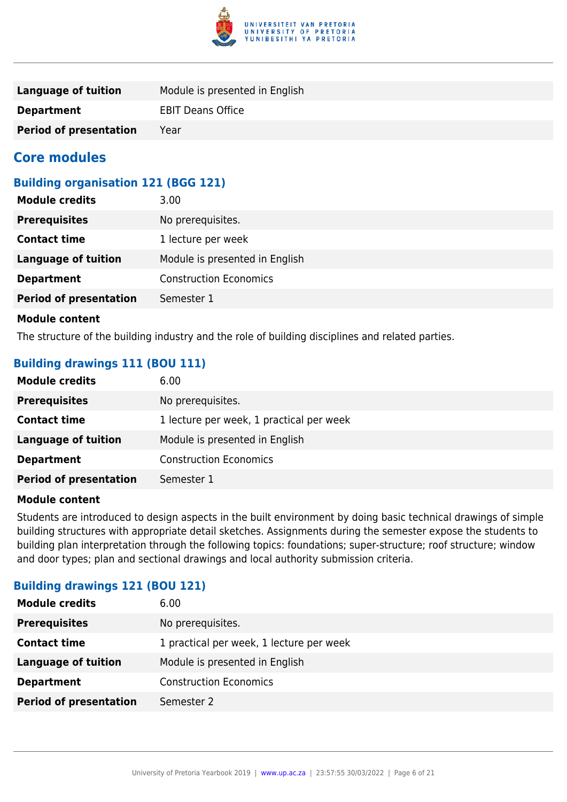

| Language of tuition           | Module is presented in English |
|-------------------------------|--------------------------------|
| <b>Department</b>             | <b>EBIT Deans Office</b>       |
| <b>Period of presentation</b> | Year                           |

## **Core modules**

## **Building organisation 121 (BGG 121)**

| <b>Module credits</b>         | 3.00                           |
|-------------------------------|--------------------------------|
| <b>Prerequisites</b>          | No prerequisites.              |
| <b>Contact time</b>           | 1 lecture per week             |
| <b>Language of tuition</b>    | Module is presented in English |
| <b>Department</b>             | <b>Construction Economics</b>  |
| <b>Period of presentation</b> | Semester 1                     |
|                               |                                |

#### **Module content**

The structure of the building industry and the role of building disciplines and related parties.

## **Building drawings 111 (BOU 111)**

| <b>Module credits</b>         | 6.00                                     |
|-------------------------------|------------------------------------------|
| <b>Prerequisites</b>          | No prerequisites.                        |
| <b>Contact time</b>           | 1 lecture per week, 1 practical per week |
| Language of tuition           | Module is presented in English           |
| <b>Department</b>             | <b>Construction Economics</b>            |
| <b>Period of presentation</b> | Semester 1                               |

#### **Module content**

Students are introduced to design aspects in the built environment by doing basic technical drawings of simple building structures with appropriate detail sketches. Assignments during the semester expose the students to building plan interpretation through the following topics: foundations; super-structure; roof structure; window and door types; plan and sectional drawings and local authority submission criteria.

#### **Building drawings 121 (BOU 121)**

| No prerequisites.<br><b>Prerequisites</b>                       |
|-----------------------------------------------------------------|
|                                                                 |
| 1 practical per week, 1 lecture per week<br><b>Contact time</b> |
| Module is presented in English<br><b>Language of tuition</b>    |
| <b>Construction Economics</b><br><b>Department</b>              |
| <b>Period of presentation</b><br>Semester 2                     |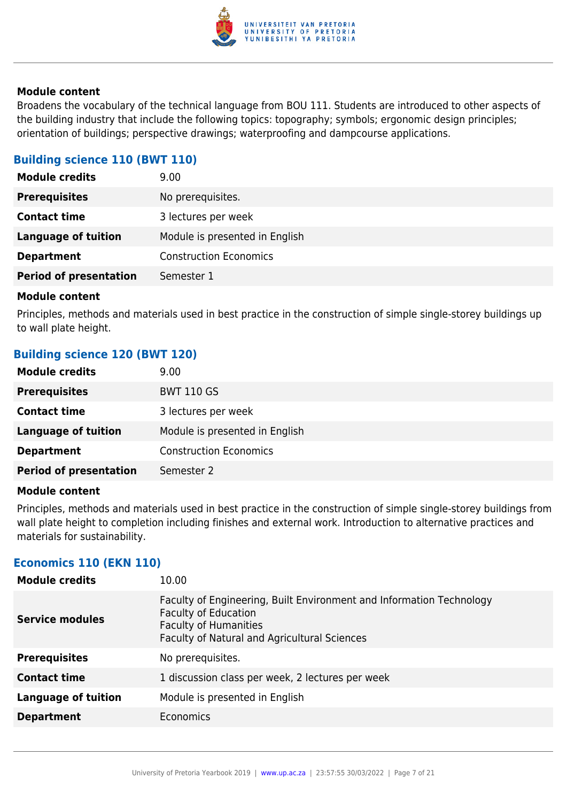

Broadens the vocabulary of the technical language from BOU 111. Students are introduced to other aspects of the building industry that include the following topics: topography; symbols; ergonomic design principles; orientation of buildings; perspective drawings; waterproofing and dampcourse applications.

## **Building science 110 (BWT 110)**

| <b>Module credits</b>         | 9.00                           |
|-------------------------------|--------------------------------|
| <b>Prerequisites</b>          | No prerequisites.              |
| <b>Contact time</b>           | 3 lectures per week            |
| <b>Language of tuition</b>    | Module is presented in English |
| <b>Department</b>             | <b>Construction Economics</b>  |
| <b>Period of presentation</b> | Semester 1                     |
|                               |                                |

#### **Module content**

Principles, methods and materials used in best practice in the construction of simple single-storey buildings up to wall plate height.

### **Building science 120 (BWT 120)**

| <b>Module credits</b>         | 9.00                           |
|-------------------------------|--------------------------------|
| <b>Prerequisites</b>          | <b>BWT 110 GS</b>              |
| <b>Contact time</b>           | 3 lectures per week            |
| Language of tuition           | Module is presented in English |
| <b>Department</b>             | <b>Construction Economics</b>  |
| <b>Period of presentation</b> | Semester 2                     |

#### **Module content**

Principles, methods and materials used in best practice in the construction of simple single-storey buildings from wall plate height to completion including finishes and external work. Introduction to alternative practices and materials for sustainability.

#### **Economics 110 (EKN 110)**

| <b>Module credits</b>      | 10.00                                                                                                                                                                               |
|----------------------------|-------------------------------------------------------------------------------------------------------------------------------------------------------------------------------------|
| <b>Service modules</b>     | Faculty of Engineering, Built Environment and Information Technology<br><b>Faculty of Education</b><br><b>Faculty of Humanities</b><br>Faculty of Natural and Agricultural Sciences |
| <b>Prerequisites</b>       | No prerequisites.                                                                                                                                                                   |
| <b>Contact time</b>        | 1 discussion class per week, 2 lectures per week                                                                                                                                    |
| <b>Language of tuition</b> | Module is presented in English                                                                                                                                                      |
| <b>Department</b>          | Economics                                                                                                                                                                           |
|                            |                                                                                                                                                                                     |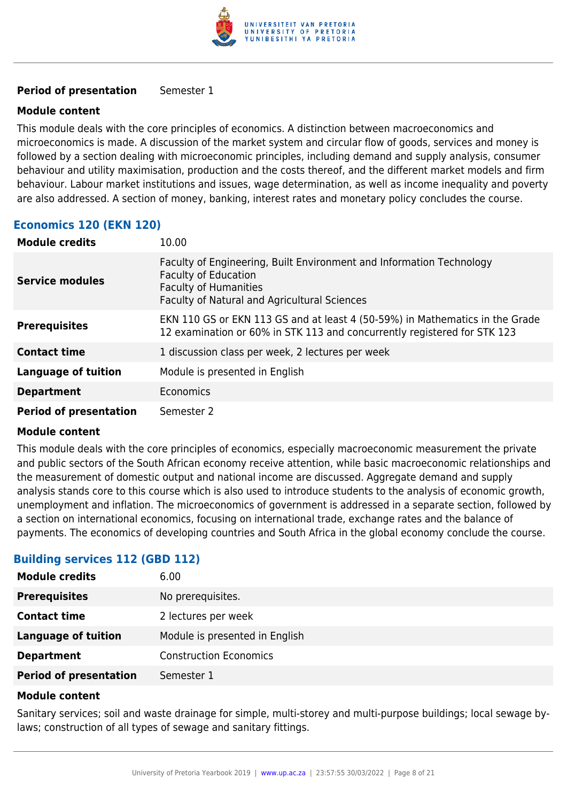

#### **Period of presentation** Semester 1

#### **Module content**

This module deals with the core principles of economics. A distinction between macroeconomics and microeconomics is made. A discussion of the market system and circular flow of goods, services and money is followed by a section dealing with microeconomic principles, including demand and supply analysis, consumer behaviour and utility maximisation, production and the costs thereof, and the different market models and firm behaviour. Labour market institutions and issues, wage determination, as well as income inequality and poverty are also addressed. A section of money, banking, interest rates and monetary policy concludes the course.

## **Economics 120 (EKN 120)**

| <b>Module credits</b>         | 10.00                                                                                                                                                                               |
|-------------------------------|-------------------------------------------------------------------------------------------------------------------------------------------------------------------------------------|
| <b>Service modules</b>        | Faculty of Engineering, Built Environment and Information Technology<br><b>Faculty of Education</b><br><b>Faculty of Humanities</b><br>Faculty of Natural and Agricultural Sciences |
| <b>Prerequisites</b>          | EKN 110 GS or EKN 113 GS and at least 4 (50-59%) in Mathematics in the Grade<br>12 examination or 60% in STK 113 and concurrently registered for STK 123                            |
| <b>Contact time</b>           | 1 discussion class per week, 2 lectures per week                                                                                                                                    |
| <b>Language of tuition</b>    | Module is presented in English                                                                                                                                                      |
| <b>Department</b>             | Economics                                                                                                                                                                           |
| <b>Period of presentation</b> | Semester 2                                                                                                                                                                          |

#### **Module content**

This module deals with the core principles of economics, especially macroeconomic measurement the private and public sectors of the South African economy receive attention, while basic macroeconomic relationships and the measurement of domestic output and national income are discussed. Aggregate demand and supply analysis stands core to this course which is also used to introduce students to the analysis of economic growth, unemployment and inflation. The microeconomics of government is addressed in a separate section, followed by a section on international economics, focusing on international trade, exchange rates and the balance of payments. The economics of developing countries and South Africa in the global economy conclude the course.

## **Building services 112 (GBD 112)**

| <b>Module credits</b>         | 6.00                           |
|-------------------------------|--------------------------------|
| <b>Prerequisites</b>          | No prerequisites.              |
| <b>Contact time</b>           | 2 lectures per week            |
| <b>Language of tuition</b>    | Module is presented in English |
| <b>Department</b>             | <b>Construction Economics</b>  |
| <b>Period of presentation</b> | Semester 1                     |

#### **Module content**

Sanitary services; soil and waste drainage for simple, multi-storey and multi-purpose buildings; local sewage bylaws; construction of all types of sewage and sanitary fittings.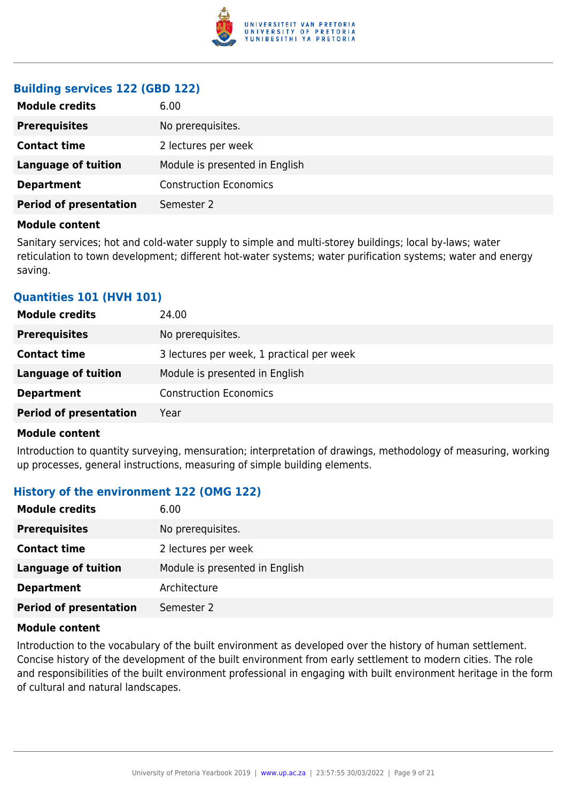

## **Building services 122 (GBD 122)**

| 6.00                           |
|--------------------------------|
| No prerequisites.              |
| 2 lectures per week            |
| Module is presented in English |
| <b>Construction Economics</b>  |
| Semester 2                     |
|                                |

#### **Module content**

Sanitary services; hot and cold-water supply to simple and multi-storey buildings; local by-laws; water reticulation to town development; different hot-water systems; water purification systems; water and energy saving.

### **Quantities 101 (HVH 101)**

| <b>Module credits</b>         | 24.00                                     |
|-------------------------------|-------------------------------------------|
| <b>Prerequisites</b>          | No prerequisites.                         |
| <b>Contact time</b>           | 3 lectures per week, 1 practical per week |
| <b>Language of tuition</b>    | Module is presented in English            |
| <b>Department</b>             | <b>Construction Economics</b>             |
| <b>Period of presentation</b> | Year                                      |

#### **Module content**

Introduction to quantity surveying, mensuration; interpretation of drawings, methodology of measuring, working up processes, general instructions, measuring of simple building elements.

## **History of the environment 122 (OMG 122)**

| <b>Module credits</b>         | 6.00                           |
|-------------------------------|--------------------------------|
| <b>Prerequisites</b>          | No prerequisites.              |
| <b>Contact time</b>           | 2 lectures per week            |
| <b>Language of tuition</b>    | Module is presented in English |
| <b>Department</b>             | Architecture                   |
| <b>Period of presentation</b> | Semester 2                     |

#### **Module content**

Introduction to the vocabulary of the built environment as developed over the history of human settlement. Concise history of the development of the built environment from early settlement to modern cities. The role and responsibilities of the built environment professional in engaging with built environment heritage in the form of cultural and natural landscapes.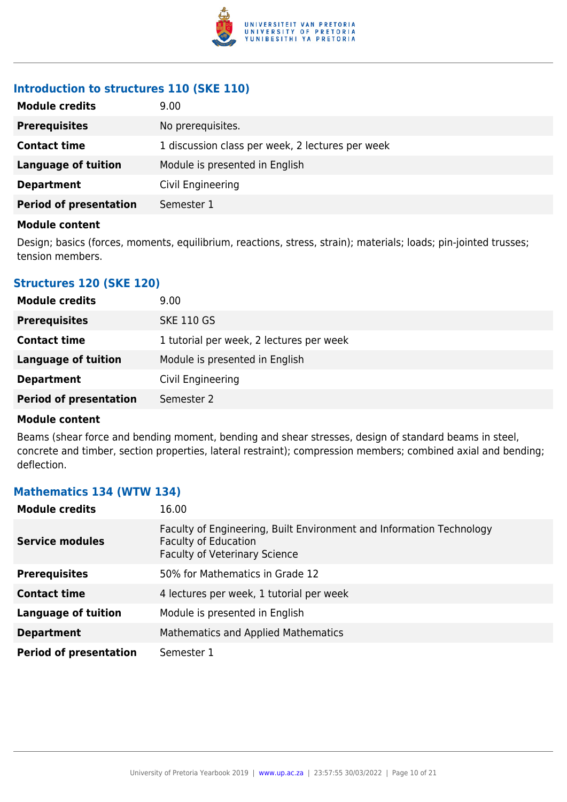

## **Introduction to structures 110 (SKE 110)**

| <b>Module credits</b>         | 9.00                                             |
|-------------------------------|--------------------------------------------------|
| <b>Prerequisites</b>          | No prerequisites.                                |
| <b>Contact time</b>           | 1 discussion class per week, 2 lectures per week |
| Language of tuition           | Module is presented in English                   |
| <b>Department</b>             | Civil Engineering                                |
| <b>Period of presentation</b> | Semester 1                                       |

#### **Module content**

Design; basics (forces, moments, equilibrium, reactions, stress, strain); materials; loads; pin-jointed trusses; tension members.

### **Structures 120 (SKE 120)**

| <b>Module credits</b>         | 9.00                                     |
|-------------------------------|------------------------------------------|
| <b>Prerequisites</b>          | <b>SKE 110 GS</b>                        |
| <b>Contact time</b>           | 1 tutorial per week, 2 lectures per week |
| Language of tuition           | Module is presented in English           |
| <b>Department</b>             | Civil Engineering                        |
| <b>Period of presentation</b> | Semester 2                               |

#### **Module content**

Beams (shear force and bending moment, bending and shear stresses, design of standard beams in steel, concrete and timber, section properties, lateral restraint); compression members; combined axial and bending; deflection.

## **Mathematics 134 (WTW 134)**

| <b>Module credits</b>         | 16.00                                                                                                                                       |
|-------------------------------|---------------------------------------------------------------------------------------------------------------------------------------------|
| <b>Service modules</b>        | Faculty of Engineering, Built Environment and Information Technology<br><b>Faculty of Education</b><br><b>Faculty of Veterinary Science</b> |
| <b>Prerequisites</b>          | 50% for Mathematics in Grade 12                                                                                                             |
| <b>Contact time</b>           | 4 lectures per week, 1 tutorial per week                                                                                                    |
| <b>Language of tuition</b>    | Module is presented in English                                                                                                              |
| <b>Department</b>             | <b>Mathematics and Applied Mathematics</b>                                                                                                  |
| <b>Period of presentation</b> | Semester 1                                                                                                                                  |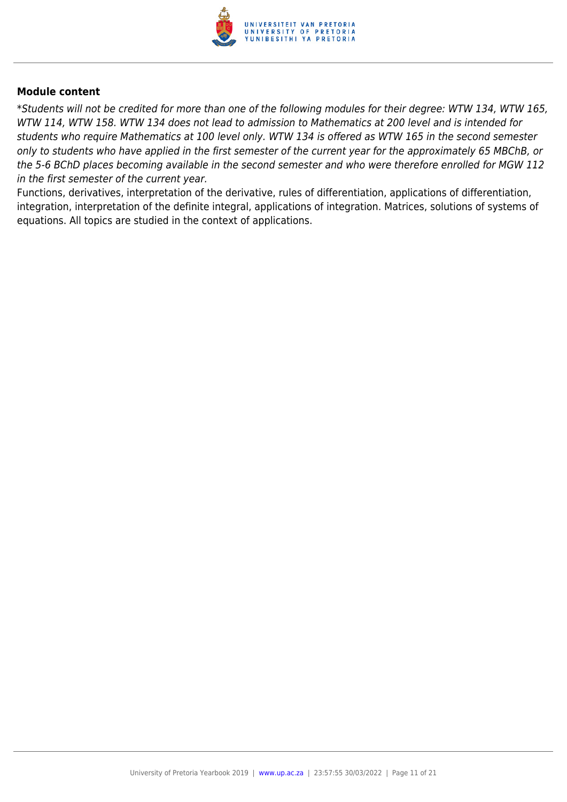

\*Students will not be credited for more than one of the following modules for their degree: WTW 134, WTW 165, WTW 114, WTW 158. WTW 134 does not lead to admission to Mathematics at 200 level and is intended for students who require Mathematics at 100 level only. WTW 134 is offered as WTW 165 in the second semester only to students who have applied in the first semester of the current year for the approximately 65 MBChB, or the 5-6 BChD places becoming available in the second semester and who were therefore enrolled for MGW 112 in the first semester of the current year.

Functions, derivatives, interpretation of the derivative, rules of differentiation, applications of differentiation, integration, interpretation of the definite integral, applications of integration. Matrices, solutions of systems of equations. All topics are studied in the context of applications.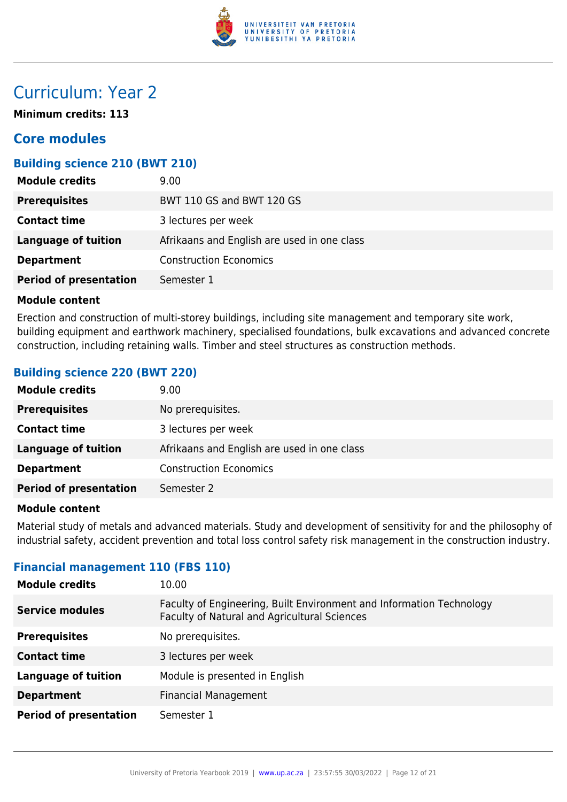

## Curriculum: Year 2

**Minimum credits: 113**

## **Core modules**

## **Building science 210 (BWT 210)**

| <b>Module credits</b>         | 9.00                                        |
|-------------------------------|---------------------------------------------|
| <b>Prerequisites</b>          | BWT 110 GS and BWT 120 GS                   |
| <b>Contact time</b>           | 3 lectures per week                         |
| Language of tuition           | Afrikaans and English are used in one class |
| <b>Department</b>             | <b>Construction Economics</b>               |
| <b>Period of presentation</b> | Semester 1                                  |

#### **Module content**

Erection and construction of multi-storey buildings, including site management and temporary site work, building equipment and earthwork machinery, specialised foundations, bulk excavations and advanced concrete construction, including retaining walls. Timber and steel structures as construction methods.

### **Building science 220 (BWT 220)**

| <b>Module credits</b>         | 9.00 <sub>1</sub>                           |
|-------------------------------|---------------------------------------------|
| <b>Prerequisites</b>          | No prerequisites.                           |
| <b>Contact time</b>           | 3 lectures per week                         |
| <b>Language of tuition</b>    | Afrikaans and English are used in one class |
| <b>Department</b>             | <b>Construction Economics</b>               |
| <b>Period of presentation</b> | Semester 2                                  |

#### **Module content**

Material study of metals and advanced materials. Study and development of sensitivity for and the philosophy of industrial safety, accident prevention and total loss control safety risk management in the construction industry.

#### **Financial management 110 (FBS 110)**

| <b>Module credits</b>         | 10.00                                                                                                                |
|-------------------------------|----------------------------------------------------------------------------------------------------------------------|
| <b>Service modules</b>        | Faculty of Engineering, Built Environment and Information Technology<br>Faculty of Natural and Agricultural Sciences |
| <b>Prerequisites</b>          | No prerequisites.                                                                                                    |
| <b>Contact time</b>           | 3 lectures per week                                                                                                  |
| <b>Language of tuition</b>    | Module is presented in English                                                                                       |
| <b>Department</b>             | <b>Financial Management</b>                                                                                          |
| <b>Period of presentation</b> | Semester 1                                                                                                           |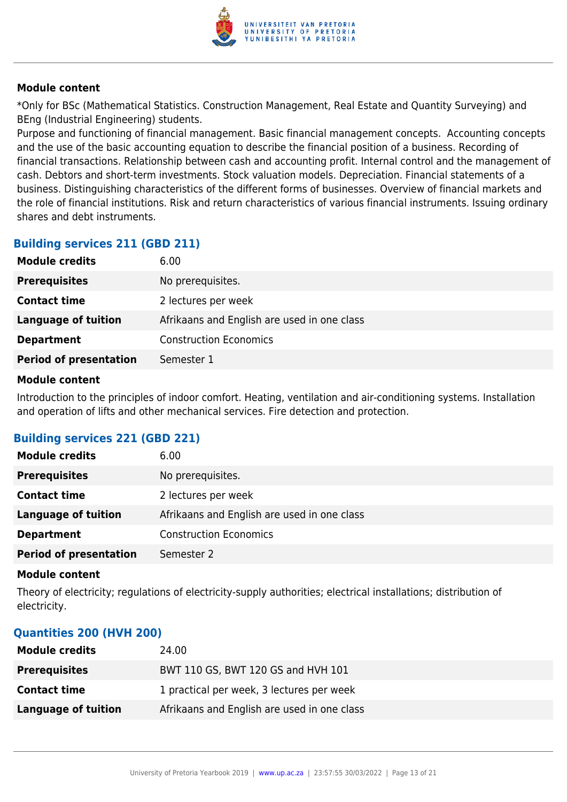

\*Only for BSc (Mathematical Statistics. Construction Management, Real Estate and Quantity Surveying) and BEng (Industrial Engineering) students.

Purpose and functioning of financial management. Basic financial management concepts. Accounting concepts and the use of the basic accounting equation to describe the financial position of a business. Recording of financial transactions. Relationship between cash and accounting profit. Internal control and the management of cash. Debtors and short-term investments. Stock valuation models. Depreciation. Financial statements of a business. Distinguishing characteristics of the different forms of businesses. Overview of financial markets and the role of financial institutions. Risk and return characteristics of various financial instruments. Issuing ordinary shares and debt instruments.

## **Building services 211 (GBD 211)**

| 6.00                                        |
|---------------------------------------------|
| No prerequisites.                           |
| 2 lectures per week                         |
| Afrikaans and English are used in one class |
| <b>Construction Economics</b>               |
| Semester 1                                  |
|                                             |

#### **Module content**

Introduction to the principles of indoor comfort. Heating, ventilation and air-conditioning systems. Installation and operation of lifts and other mechanical services. Fire detection and protection.

## **Building services 221 (GBD 221)**

| <b>Module credits</b>         | 6.00                                        |
|-------------------------------|---------------------------------------------|
| <b>Prerequisites</b>          | No prerequisites.                           |
| <b>Contact time</b>           | 2 lectures per week                         |
| <b>Language of tuition</b>    | Afrikaans and English are used in one class |
| <b>Department</b>             | <b>Construction Economics</b>               |
| <b>Period of presentation</b> | Semester 2                                  |

#### **Module content**

Theory of electricity; regulations of electricity-supply authorities; electrical installations; distribution of electricity.

#### **Quantities 200 (HVH 200)**

| <b>Module credits</b> | 24.00                                       |
|-----------------------|---------------------------------------------|
| <b>Prerequisites</b>  | BWT 110 GS, BWT 120 GS and HVH 101          |
| <b>Contact time</b>   | 1 practical per week, 3 lectures per week   |
| Language of tuition   | Afrikaans and English are used in one class |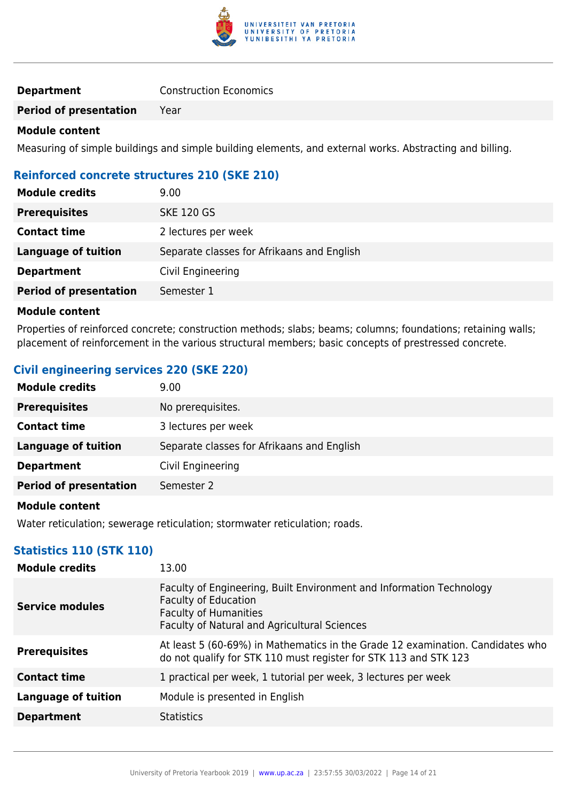

| <b>Department</b> | <b>Construction Economics</b> |  |
|-------------------|-------------------------------|--|
|-------------------|-------------------------------|--|

**Period of presentation** Year

#### **Module content**

Measuring of simple buildings and simple building elements, and external works. Abstracting and billing.

## **Reinforced concrete structures 210 (SKE 210)**

| <b>Module credits</b>         | 9.00                                       |
|-------------------------------|--------------------------------------------|
| <b>Prerequisites</b>          | <b>SKE 120 GS</b>                          |
| <b>Contact time</b>           | 2 lectures per week                        |
| <b>Language of tuition</b>    | Separate classes for Afrikaans and English |
| <b>Department</b>             | Civil Engineering                          |
| <b>Period of presentation</b> | Semester 1                                 |

#### **Module content**

Properties of reinforced concrete; construction methods; slabs; beams; columns; foundations; retaining walls; placement of reinforcement in the various structural members; basic concepts of prestressed concrete.

## **Civil engineering services 220 (SKE 220)**

| <b>Module credits</b>         | 9.00                                       |
|-------------------------------|--------------------------------------------|
| <b>Prerequisites</b>          | No prerequisites.                          |
| <b>Contact time</b>           | 3 lectures per week                        |
| Language of tuition           | Separate classes for Afrikaans and English |
| <b>Department</b>             | Civil Engineering                          |
| <b>Period of presentation</b> | Semester 2                                 |
|                               |                                            |

#### **Module content**

Water reticulation; sewerage reticulation; stormwater reticulation; roads.

## **Statistics 110 (STK 110)**

| <b>Module credits</b>      | 13.00                                                                                                                                                                                      |
|----------------------------|--------------------------------------------------------------------------------------------------------------------------------------------------------------------------------------------|
| <b>Service modules</b>     | Faculty of Engineering, Built Environment and Information Technology<br><b>Faculty of Education</b><br><b>Faculty of Humanities</b><br><b>Faculty of Natural and Agricultural Sciences</b> |
| <b>Prerequisites</b>       | At least 5 (60-69%) in Mathematics in the Grade 12 examination. Candidates who<br>do not qualify for STK 110 must register for STK 113 and STK 123                                         |
| <b>Contact time</b>        | 1 practical per week, 1 tutorial per week, 3 lectures per week                                                                                                                             |
| <b>Language of tuition</b> | Module is presented in English                                                                                                                                                             |
| <b>Department</b>          | <b>Statistics</b>                                                                                                                                                                          |
|                            |                                                                                                                                                                                            |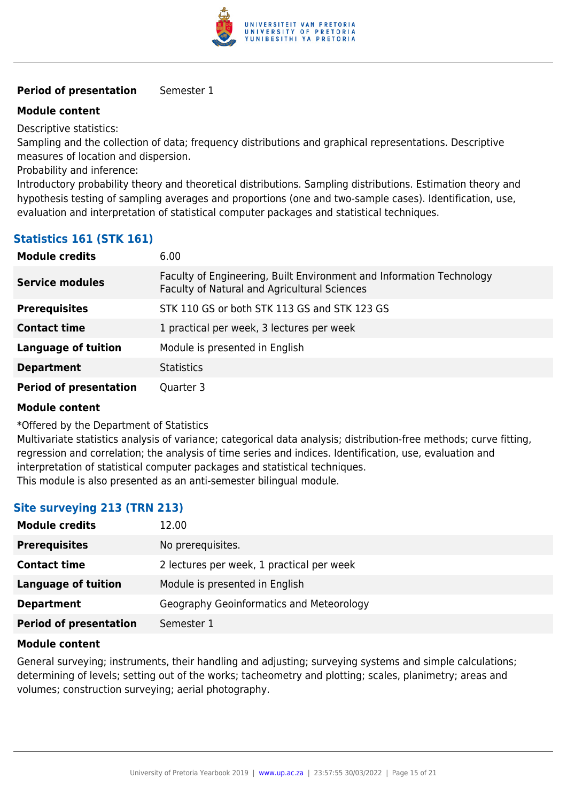

#### **Period of presentation** Semester 1

#### **Module content**

Descriptive statistics:

Sampling and the collection of data; frequency distributions and graphical representations. Descriptive measures of location and dispersion.

Probability and inference:

Introductory probability theory and theoretical distributions. Sampling distributions. Estimation theory and hypothesis testing of sampling averages and proportions (one and two-sample cases). Identification, use, evaluation and interpretation of statistical computer packages and statistical techniques.

## **Statistics 161 (STK 161)**

| <b>Module credits</b>         | 6.00                                                                                                                 |
|-------------------------------|----------------------------------------------------------------------------------------------------------------------|
| <b>Service modules</b>        | Faculty of Engineering, Built Environment and Information Technology<br>Faculty of Natural and Agricultural Sciences |
| <b>Prerequisites</b>          | STK 110 GS or both STK 113 GS and STK 123 GS                                                                         |
| <b>Contact time</b>           | 1 practical per week, 3 lectures per week                                                                            |
| <b>Language of tuition</b>    | Module is presented in English                                                                                       |
| <b>Department</b>             | <b>Statistics</b>                                                                                                    |
| <b>Period of presentation</b> | Quarter 3                                                                                                            |

#### **Module content**

\*Offered by the Department of Statistics

Multivariate statistics analysis of variance; categorical data analysis; distribution-free methods; curve fitting, regression and correlation; the analysis of time series and indices. Identification, use, evaluation and interpretation of statistical computer packages and statistical techniques. This module is also presented as an anti-semester bilingual module.

## **Site surveying 213 (TRN 213)**

| <b>Module credits</b>         | 12.00                                     |
|-------------------------------|-------------------------------------------|
| <b>Prerequisites</b>          | No prerequisites.                         |
| <b>Contact time</b>           | 2 lectures per week, 1 practical per week |
| Language of tuition           | Module is presented in English            |
| <b>Department</b>             | Geography Geoinformatics and Meteorology  |
| <b>Period of presentation</b> | Semester 1                                |

#### **Module content**

General surveying; instruments, their handling and adjusting; surveying systems and simple calculations; determining of levels; setting out of the works; tacheometry and plotting; scales, planimetry; areas and volumes; construction surveying; aerial photography.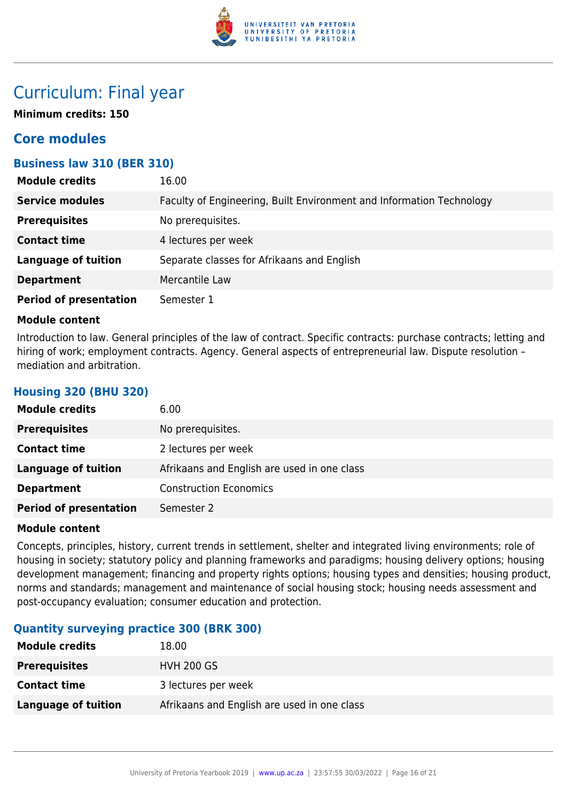

## Curriculum: Final year

**Minimum credits: 150**

## **Core modules**

## **Business law 310 (BER 310)**

| <b>Module credits</b>         | 16.00                                                                |
|-------------------------------|----------------------------------------------------------------------|
| <b>Service modules</b>        | Faculty of Engineering, Built Environment and Information Technology |
| <b>Prerequisites</b>          | No prerequisites.                                                    |
| <b>Contact time</b>           | 4 lectures per week                                                  |
| <b>Language of tuition</b>    | Separate classes for Afrikaans and English                           |
| <b>Department</b>             | Mercantile Law                                                       |
| <b>Period of presentation</b> | Semester 1                                                           |

#### **Module content**

**Housing 320 (BHU 320)**

Introduction to law. General principles of the law of contract. Specific contracts: purchase contracts; letting and hiring of work; employment contracts. Agency. General aspects of entrepreneurial law. Dispute resolution mediation and arbitration.

| <b>Module credits</b>         | 6.00                                        |
|-------------------------------|---------------------------------------------|
| <b>Prerequisites</b>          | No prerequisites.                           |
| <b>Contact time</b>           | 2 lectures per week                         |
| <b>Language of tuition</b>    | Afrikaans and English are used in one class |
| <b>Department</b>             | <b>Construction Economics</b>               |
| <b>Period of presentation</b> | Semester 2                                  |

#### **Module content**

Concepts, principles, history, current trends in settlement, shelter and integrated living environments; role of housing in society; statutory policy and planning frameworks and paradigms; housing delivery options; housing development management; financing and property rights options; housing types and densities; housing product, norms and standards; management and maintenance of social housing stock; housing needs assessment and post-occupancy evaluation; consumer education and protection.

## **Quantity surveying practice 300 (BRK 300)**

| <b>Module credits</b> | 18.00                                       |
|-----------------------|---------------------------------------------|
| <b>Prerequisites</b>  | <b>HVH 200 GS</b>                           |
| <b>Contact time</b>   | 3 lectures per week                         |
| Language of tuition   | Afrikaans and English are used in one class |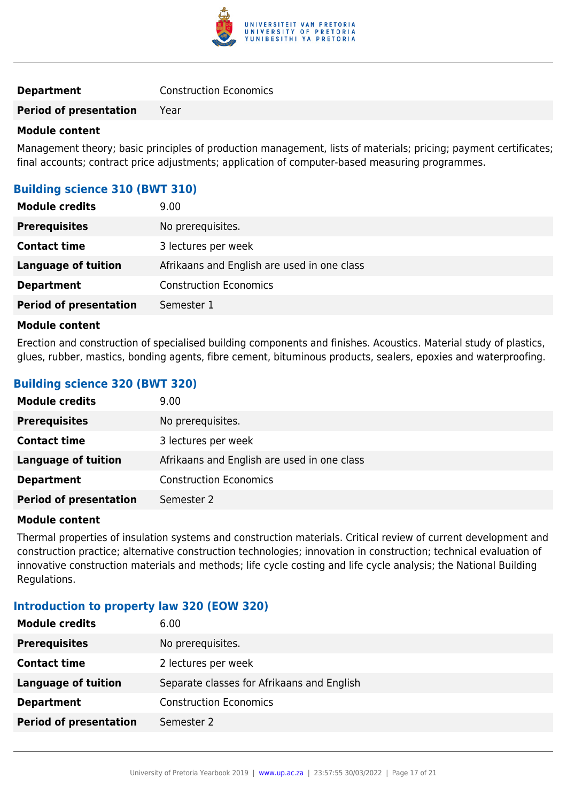

**Period of presentation** Year

#### **Module content**

Management theory; basic principles of production management, lists of materials; pricing; payment certificates; final accounts; contract price adjustments; application of computer-based measuring programmes.

## **Building science 310 (BWT 310)**

| <b>Module credits</b>         | 9.00                                        |
|-------------------------------|---------------------------------------------|
| <b>Prerequisites</b>          | No prerequisites.                           |
| <b>Contact time</b>           | 3 lectures per week                         |
| <b>Language of tuition</b>    | Afrikaans and English are used in one class |
| <b>Department</b>             | <b>Construction Economics</b>               |
| <b>Period of presentation</b> | Semester 1                                  |

#### **Module content**

Erection and construction of specialised building components and finishes. Acoustics. Material study of plastics, glues, rubber, mastics, bonding agents, fibre cement, bituminous products, sealers, epoxies and waterproofing.

## **Building science 320 (BWT 320)**

| <b>Module credits</b>         | 9.00                                        |
|-------------------------------|---------------------------------------------|
| <b>Prerequisites</b>          | No prerequisites.                           |
| <b>Contact time</b>           | 3 lectures per week                         |
| Language of tuition           | Afrikaans and English are used in one class |
| <b>Department</b>             | <b>Construction Economics</b>               |
| <b>Period of presentation</b> | Semester 2                                  |

#### **Module content**

Thermal properties of insulation systems and construction materials. Critical review of current development and construction practice; alternative construction technologies; innovation in construction; technical evaluation of innovative construction materials and methods; life cycle costing and life cycle analysis; the National Building Regulations.

#### **Introduction to property law 320 (EOW 320)**

| <b>Module credits</b>         | 6.00                                       |
|-------------------------------|--------------------------------------------|
| <b>Prerequisites</b>          | No prerequisites.                          |
| <b>Contact time</b>           | 2 lectures per week                        |
| <b>Language of tuition</b>    | Separate classes for Afrikaans and English |
| <b>Department</b>             | <b>Construction Economics</b>              |
| <b>Period of presentation</b> | Semester 2                                 |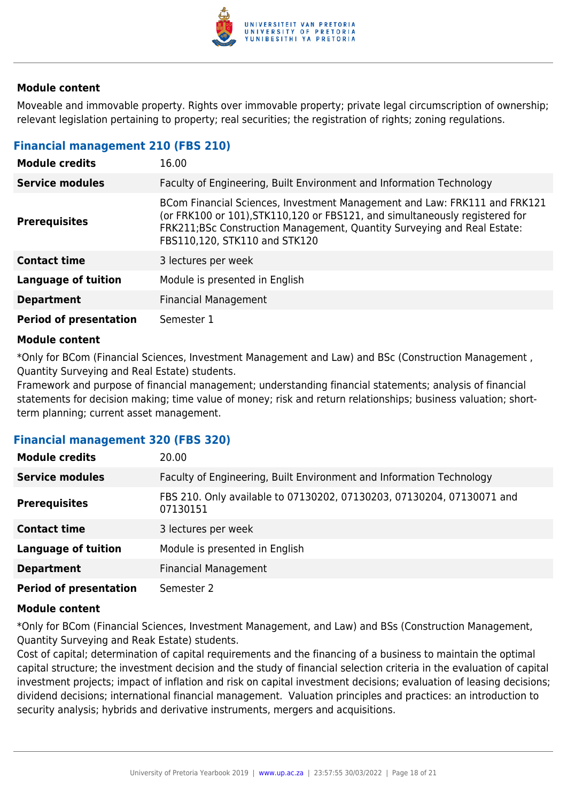

Moveable and immovable property. Rights over immovable property; private legal circumscription of ownership; relevant legislation pertaining to property; real securities; the registration of rights; zoning regulations.

#### **Financial management 210 (FBS 210)**

| <b>Module credits</b>         | 16.00                                                                                                                                                                                                                                                                 |
|-------------------------------|-----------------------------------------------------------------------------------------------------------------------------------------------------------------------------------------------------------------------------------------------------------------------|
| <b>Service modules</b>        | Faculty of Engineering, Built Environment and Information Technology                                                                                                                                                                                                  |
| <b>Prerequisites</b>          | BCom Financial Sciences, Investment Management and Law: FRK111 and FRK121<br>(or FRK100 or 101), STK110, 120 or FBS121, and simultaneously registered for<br>FRK211;BSc Construction Management, Quantity Surveying and Real Estate:<br>FBS110,120, STK110 and STK120 |
| <b>Contact time</b>           | 3 lectures per week                                                                                                                                                                                                                                                   |
| <b>Language of tuition</b>    | Module is presented in English                                                                                                                                                                                                                                        |
| <b>Department</b>             | <b>Financial Management</b>                                                                                                                                                                                                                                           |
| <b>Period of presentation</b> | Semester 1                                                                                                                                                                                                                                                            |

#### **Module content**

\*Only for BCom (Financial Sciences, Investment Management and Law) and BSc (Construction Management , Quantity Surveying and Real Estate) students.

Framework and purpose of financial management; understanding financial statements; analysis of financial statements for decision making; time value of money; risk and return relationships; business valuation; shortterm planning; current asset management.

#### **Financial management 320 (FBS 320)**

| <b>Module credits</b>         | 20.00                                                                             |
|-------------------------------|-----------------------------------------------------------------------------------|
| <b>Service modules</b>        | Faculty of Engineering, Built Environment and Information Technology              |
| <b>Prerequisites</b>          | FBS 210. Only available to 07130202, 07130203, 07130204, 07130071 and<br>07130151 |
| <b>Contact time</b>           | 3 lectures per week                                                               |
| <b>Language of tuition</b>    | Module is presented in English                                                    |
| <b>Department</b>             | <b>Financial Management</b>                                                       |
| <b>Period of presentation</b> | Semester 2                                                                        |

#### **Module content**

\*Only for BCom (Financial Sciences, Investment Management, and Law) and BSs (Construction Management, Quantity Surveying and Reak Estate) students.

Cost of capital; determination of capital requirements and the financing of a business to maintain the optimal capital structure; the investment decision and the study of financial selection criteria in the evaluation of capital investment projects; impact of inflation and risk on capital investment decisions; evaluation of leasing decisions; dividend decisions; international financial management. Valuation principles and practices: an introduction to security analysis; hybrids and derivative instruments, mergers and acquisitions.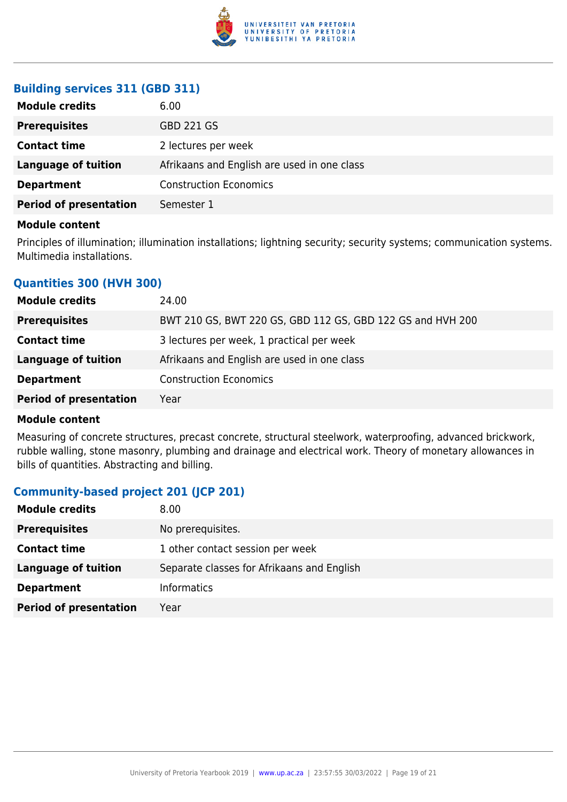

## **Building services 311 (GBD 311)**

| <b>Prerequisites</b><br><b>GBD 221 GS</b><br><b>Contact time</b><br>2 lectures per week<br><b>Language of tuition</b><br>Afrikaans and English are used in one class<br><b>Construction Economics</b><br><b>Department</b> | <b>Module credits</b> | 6.00 |
|----------------------------------------------------------------------------------------------------------------------------------------------------------------------------------------------------------------------------|-----------------------|------|
|                                                                                                                                                                                                                            |                       |      |
|                                                                                                                                                                                                                            |                       |      |
|                                                                                                                                                                                                                            |                       |      |
|                                                                                                                                                                                                                            |                       |      |
| <b>Period of presentation</b><br>Semester 1                                                                                                                                                                                |                       |      |

#### **Module content**

Principles of illumination; illumination installations; lightning security; security systems; communication systems. Multimedia installations.

## **Quantities 300 (HVH 300)**

| <b>Module credits</b>         | 24.00                                                      |
|-------------------------------|------------------------------------------------------------|
| <b>Prerequisites</b>          | BWT 210 GS, BWT 220 GS, GBD 112 GS, GBD 122 GS and HVH 200 |
| <b>Contact time</b>           | 3 lectures per week, 1 practical per week                  |
| Language of tuition           | Afrikaans and English are used in one class                |
| <b>Department</b>             | <b>Construction Economics</b>                              |
| <b>Period of presentation</b> | Year                                                       |

#### **Module content**

Measuring of concrete structures, precast concrete, structural steelwork, waterproofing, advanced brickwork, rubble walling, stone masonry, plumbing and drainage and electrical work. Theory of monetary allowances in bills of quantities. Abstracting and billing.

## **Community-based project 201 (JCP 201)**

| <b>Module credits</b>         | 8.00                                       |
|-------------------------------|--------------------------------------------|
| <b>Prerequisites</b>          | No prerequisites.                          |
| <b>Contact time</b>           | 1 other contact session per week           |
| Language of tuition           | Separate classes for Afrikaans and English |
| <b>Department</b>             | <b>Informatics</b>                         |
| <b>Period of presentation</b> | Year                                       |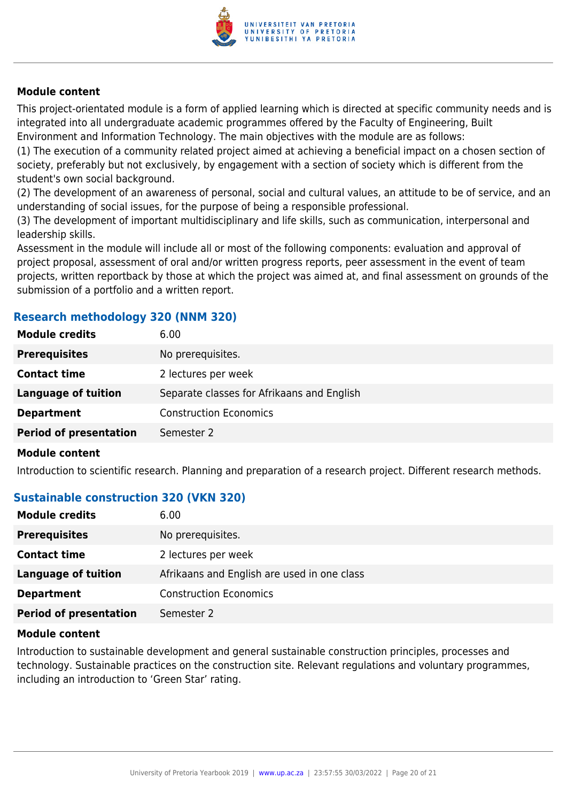

This project-orientated module is a form of applied learning which is directed at specific community needs and is integrated into all undergraduate academic programmes offered by the Faculty of Engineering, Built Environment and Information Technology. The main objectives with the module are as follows:

(1) The execution of a community related project aimed at achieving a beneficial impact on a chosen section of society, preferably but not exclusively, by engagement with a section of society which is different from the student's own social background.

(2) The development of an awareness of personal, social and cultural values, an attitude to be of service, and an understanding of social issues, for the purpose of being a responsible professional.

(3) The development of important multidisciplinary and life skills, such as communication, interpersonal and leadership skills.

Assessment in the module will include all or most of the following components: evaluation and approval of project proposal, assessment of oral and/or written progress reports, peer assessment in the event of team projects, written reportback by those at which the project was aimed at, and final assessment on grounds of the submission of a portfolio and a written report.

### **Research methodology 320 (NNM 320)**

| No prerequisites.<br><b>Prerequisites</b><br><b>Contact time</b><br>2 lectures per week<br><b>Language of tuition</b><br>Separate classes for Afrikaans and English<br><b>Construction Economics</b><br><b>Department</b> | <b>Module credits</b> | 6.00 |
|---------------------------------------------------------------------------------------------------------------------------------------------------------------------------------------------------------------------------|-----------------------|------|
|                                                                                                                                                                                                                           |                       |      |
|                                                                                                                                                                                                                           |                       |      |
|                                                                                                                                                                                                                           |                       |      |
|                                                                                                                                                                                                                           |                       |      |
| <b>Period of presentation</b><br>Semester 2                                                                                                                                                                               |                       |      |

#### **Module content**

Introduction to scientific research. Planning and preparation of a research project. Different research methods.

#### **Sustainable construction 320 (VKN 320)**

| <b>Module credits</b>         | 6.00                                        |
|-------------------------------|---------------------------------------------|
| <b>Prerequisites</b>          | No prerequisites.                           |
| <b>Contact time</b>           | 2 lectures per week                         |
| <b>Language of tuition</b>    | Afrikaans and English are used in one class |
| <b>Department</b>             | <b>Construction Economics</b>               |
| <b>Period of presentation</b> | Semester 2                                  |

#### **Module content**

Introduction to sustainable development and general sustainable construction principles, processes and technology. Sustainable practices on the construction site. Relevant regulations and voluntary programmes, including an introduction to 'Green Star' rating.